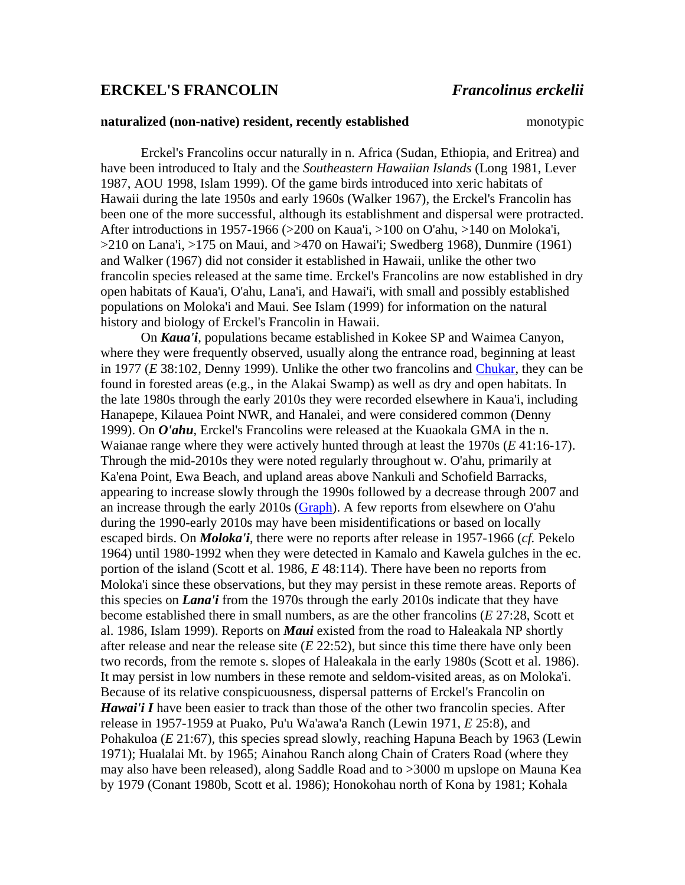## **ERCKEL'S FRANCOLIN** *Francolinus erckelii*

## **naturalized (non-native) resident, recently established** monotypic

Erckel's Francolins occur naturally in n. Africa (Sudan, Ethiopia, and Eritrea) and have been introduced to Italy and the *Southeastern Hawaiian Islands* (Long 1981, Lever 1987, AOU 1998, Islam 1999). Of the game birds introduced into xeric habitats of Hawaii during the late 1950s and early 1960s (Walker 1967), the Erckel's Francolin has been one of the more successful, although its establishment and dispersal were protracted. After introductions in 1957-1966 (>200 on Kaua'i, >100 on O'ahu, >140 on Moloka'i,  $>210$  on Lana'i,  $>175$  on Maui, and  $>470$  on Hawai'i; Swedberg 1968), Dunmire (1961) and Walker (1967) did not consider it established in Hawaii, unlike the other two francolin species released at the same time. Erckel's Francolins are now established in dry open habitats of Kaua'i, O'ahu, Lana'i, and Hawai'i, with small and possibly established populations on Moloka'i and Maui. See Islam (1999) for information on the natural history and biology of Erckel's Francolin in Hawaii.

On *Kaua'i*, populations became established in Kokee SP and Waimea Canyon, where they were frequently observed, usually along the entrance road, beginning at least in 1977 (*E* 38:102, Denny 1999). Unlike the other two francolins and [Chukar,](http://hbs.bishopmuseum.org/birds/rlp-monograph/HRBP-pages/02-Galliformes-Procellariiformes/CHUK-HRBP.htm) they can be found in forested areas (e.g., in the Alakai Swamp) as well as dry and open habitats. In the late 1980s through the early 2010s they were recorded elsewhere in Kaua'i, including Hanapepe, Kilauea Point NWR, and Hanalei, and were considered common (Denny 1999). On *O'ahu*, Erckel's Francolins were released at the Kuaokala GMA in the n. Waianae range where they were actively hunted through at least the 1970s (*E* 41:16-17). Through the mid-2010s they were noted regularly throughout w. O'ahu, primarily at Ka'ena Point, Ewa Beach, and upland areas above Nankuli and Schofield Barracks, appearing to increase slowly through the 1990s followed by a decrease through 2007 and an increase through the early 2010s [\(Graph\)](http://hbs.bishopmuseum.org/birds/rlp-monograph/cc/ERFR-WaipioCC.htm). A few reports from elsewhere on O'ahu during the 1990-early 2010s may have been misidentifications or based on locally escaped birds. On *Moloka'i*, there were no reports after release in 1957-1966 (*cf.* Pekelo 1964) until 1980-1992 when they were detected in Kamalo and Kawela gulches in the ec. portion of the island (Scott et al. 1986, *E* 48:114). There have been no reports from Moloka'i since these observations, but they may persist in these remote areas. Reports of this species on *Lana'i* from the 1970s through the early 2010s indicate that they have become established there in small numbers, as are the other francolins (*E* 27:28, Scott et al. 1986, Islam 1999). Reports on *Maui* existed from the road to Haleakala NP shortly after release and near the release site (*E* 22:52), but since this time there have only been two records, from the remote s. slopes of Haleakala in the early 1980s (Scott et al. 1986). It may persist in low numbers in these remote and seldom-visited areas, as on Moloka'i. Because of its relative conspicuousness, dispersal patterns of Erckel's Francolin on *Hawai'i I* have been easier to track than those of the other two francolin species. After release in 1957-1959 at Puako, Pu'u Wa'awa'a Ranch (Lewin 1971, *E* 25:8), and Pohakuloa (*E* 21:67)*,* this species spread slowly, reaching Hapuna Beach by 1963 (Lewin 1971); Hualalai Mt. by 1965; Ainahou Ranch along Chain of Craters Road (where they may also have been released), along Saddle Road and to >3000 m upslope on Mauna Kea by 1979 (Conant 1980b, Scott et al. 1986); Honokohau north of Kona by 1981; Kohala